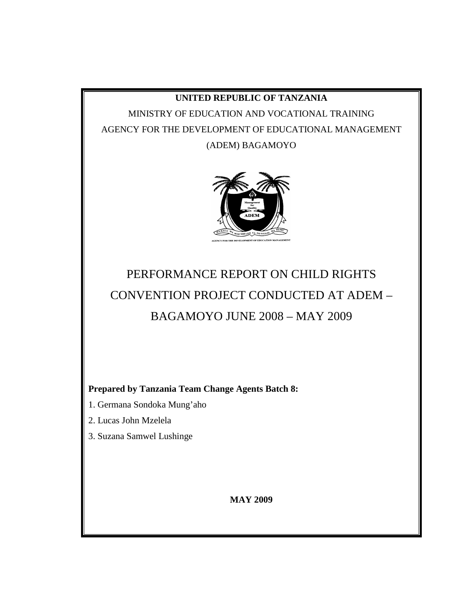## **UNITED REPUBLIC OF TANZANIA**

MINISTRY OF EDUCATION AND VOCATIONAL TRAINING AGENCY FOR THE DEVELOPMENT OF EDUCATIONAL MANAGEMENT (ADEM) BAGAMOYO



# PERFORMANCE REPORT ON CHILD RIGHTS CONVENTION PROJECT CONDUCTED AT ADEM – BAGAMOYO JUNE 2008 – MAY 2009

**Prepared by Tanzania Team Change Agents Batch 8:**

- 1. Germana Sondoka Mung'aho
- 2. Lucas John Mzelela
- 3. Suzana Samwel Lushinge

**MAY 2009**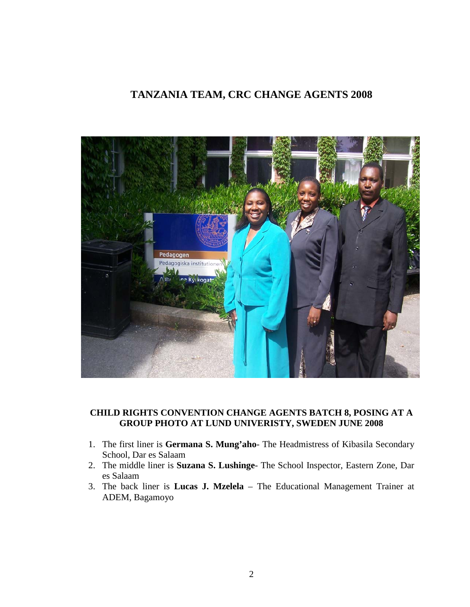## **TANZANIA TEAM, CRC CHANGE AGENTS 2008**



## **CHILD RIGHTS CONVENTION CHANGE AGENTS BATCH 8, POSING AT A GROUP PHOTO AT LUND UNIVERISTY, SWEDEN JUNE 2008**

- 1. The first liner is **Germana S. Mung'aho** The Headmistress of Kibasila Secondary School, Dar es Salaam
- 2. The middle liner is **Suzana S. Lushinge** The School Inspector, Eastern Zone, Dar es Salaam
- 3. The back liner is **Lucas J. Mzelela** The Educational Management Trainer at ADEM, Bagamoyo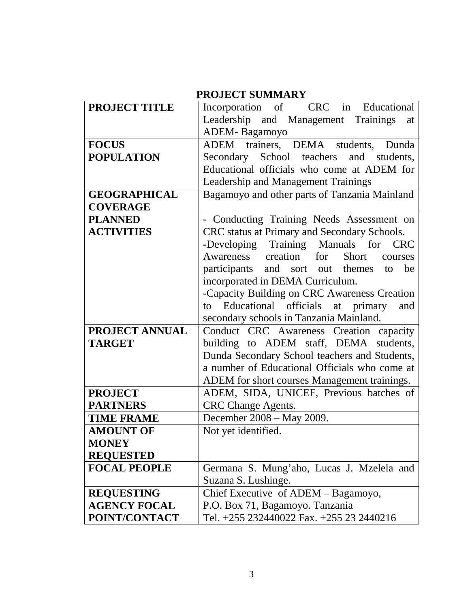| <b>PROJECT SUMMARY</b> |                                                      |  |  |
|------------------------|------------------------------------------------------|--|--|
| <b>PROJECT TITLE</b>   | Incorporation of CRC in Educational                  |  |  |
|                        | Leadership and Management Trainings<br>at            |  |  |
|                        | ADEM-Bagamoyo                                        |  |  |
| <b>FOCUS</b>           | ADEM trainers, DEMA students, Dunda                  |  |  |
| <b>POPULATION</b>      | Secondary School teachers<br>and students,           |  |  |
|                        | Educational officials who come at ADEM for           |  |  |
|                        | <b>Leadership and Management Trainings</b>           |  |  |
| <b>GEOGRAPHICAL</b>    | Bagamoyo and other parts of Tanzania Mainland        |  |  |
| <b>COVERAGE</b>        |                                                      |  |  |
| <b>PLANNED</b>         | - Conducting Training Needs Assessment on            |  |  |
| <b>ACTIVITIES</b>      | CRC status at Primary and Secondary Schools.         |  |  |
|                        | -Developing Training Manuals for CRC                 |  |  |
|                        | Awareness creation<br>for<br><b>Short</b><br>courses |  |  |
|                        | participants and sort out themes to<br>be            |  |  |
|                        | incorporated in DEMA Curriculum.                     |  |  |
|                        | -Capacity Building on CRC Awareness Creation         |  |  |
|                        | to Educational officials at primary<br>and           |  |  |
|                        | secondary schools in Tanzania Mainland.              |  |  |
| <b>PROJECT ANNUAL</b>  | Conduct CRC Awareness Creation capacity              |  |  |
| <b>TARGET</b>          | building to ADEM staff, DEMA students,               |  |  |
|                        | Dunda Secondary School teachers and Students,        |  |  |
|                        | a number of Educational Officials who come at        |  |  |
|                        | ADEM for short courses Management trainings.         |  |  |
| <b>PROJECT</b>         | ADEM, SIDA, UNICEF, Previous batches of              |  |  |
| <b>PARTNERS</b>        | <b>CRC</b> Change Agents.                            |  |  |
| <b>TIME FRAME</b>      | December 2008 - May 2009.                            |  |  |
| <b>AMOUNT OF</b>       | Not yet identified.                                  |  |  |
| <b>MONEY</b>           |                                                      |  |  |
| <b>REQUESTED</b>       |                                                      |  |  |
| <b>FOCAL PEOPLE</b>    | Germana S. Mung'aho, Lucas J. Mzelela and            |  |  |
|                        | Suzana S. Lushinge.                                  |  |  |
| <b>REQUESTING</b>      | Chief Executive of ADEM - Bagamoyo,                  |  |  |
| <b>AGENCY FOCAL</b>    | P.O. Box 71, Bagamoyo. Tanzania                      |  |  |
| POINT/CONTACT          | Tel. +255 232440022 Fax. +255 23 2440216             |  |  |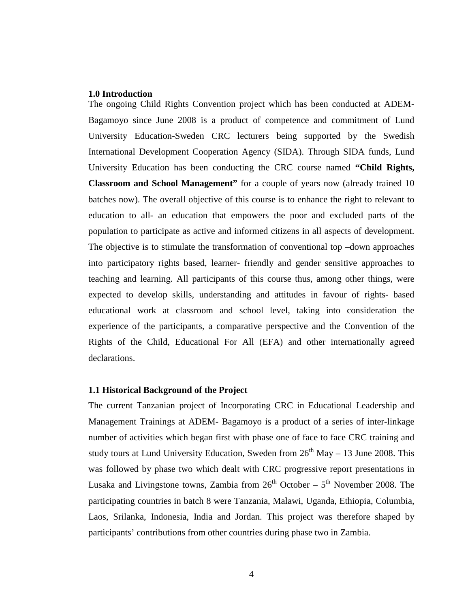#### **1.0 Introduction**

The ongoing Child Rights Convention project which has been conducted at ADEM-Bagamoyo since June 2008 is a product of competence and commitment of Lund University Education-Sweden CRC lecturers being supported by the Swedish International Development Cooperation Agency (SIDA). Through SIDA funds, Lund University Education has been conducting the CRC course named **"Child Rights, Classroom and School Management"** for a couple of years now (already trained 10 batches now). The overall objective of this course is to enhance the right to relevant to education to all- an education that empowers the poor and excluded parts of the population to participate as active and informed citizens in all aspects of development. The objective is to stimulate the transformation of conventional top –down approaches into participatory rights based, learner- friendly and gender sensitive approaches to teaching and learning. All participants of this course thus, among other things, were expected to develop skills, understanding and attitudes in favour of rights- based educational work at classroom and school level, taking into consideration the experience of the participants, a comparative perspective and the Convention of the Rights of the Child, Educational For All (EFA) and other internationally agreed declarations.

## **1.1 Historical Background of the Project**

The current Tanzanian project of Incorporating CRC in Educational Leadership and Management Trainings at ADEM- Bagamoyo is a product of a series of inter-linkage number of activities which began first with phase one of face to face CRC training and study tours at Lund University Education, Sweden from  $26<sup>th</sup>$  May – 13 June 2008. This was followed by phase two which dealt with CRC progressive report presentations in Lusaka and Livingstone towns, Zambia from  $26<sup>th</sup>$  October –  $5<sup>th</sup>$  November 2008. The participating countries in batch 8 were Tanzania, Malawi, Uganda, Ethiopia, Columbia, Laos, Srilanka, Indonesia, India and Jordan. This project was therefore shaped by participants' contributions from other countries during phase two in Zambia.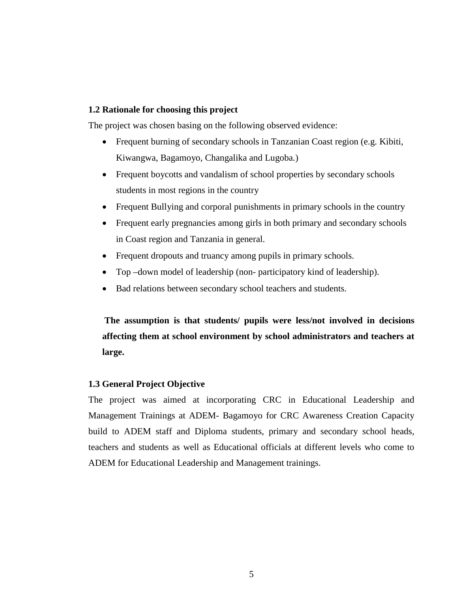## **1.2 Rationale for choosing this project**

The project was chosen basing on the following observed evidence:

- Frequent burning of secondary schools in Tanzanian Coast region (e.g. Kibiti, Kiwangwa, Bagamoyo, Changalika and Lugoba.)
- Frequent boycotts and vandalism of school properties by secondary schools students in most regions in the country
- Frequent Bullying and corporal punishments in primary schools in the country
- Frequent early pregnancies among girls in both primary and secondary schools in Coast region and Tanzania in general.
- Frequent dropouts and truancy among pupils in primary schools.
- Top –down model of leadership (non- participatory kind of leadership).
- Bad relations between secondary school teachers and students.

**The assumption is that students/ pupils were less/not involved in decisions affecting them at school environment by school administrators and teachers at large.**

## **1.3 General Project Objective**

The project was aimed at incorporating CRC in Educational Leadership and Management Trainings at ADEM- Bagamoyo for CRC Awareness Creation Capacity build to ADEM staff and Diploma students, primary and secondary school heads, teachers and students as well as Educational officials at different levels who come to ADEM for Educational Leadership and Management trainings.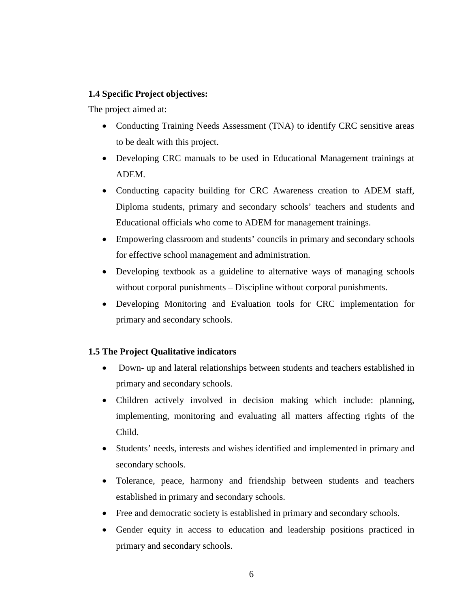## **1.4 Specific Project objectives:**

The project aimed at:

- Conducting Training Needs Assessment (TNA) to identify CRC sensitive areas to be dealt with this project.
- Developing CRC manuals to be used in Educational Management trainings at ADEM.
- Conducting capacity building for CRC Awareness creation to ADEM staff, Diploma students, primary and secondary schools' teachers and students and Educational officials who come to ADEM for management trainings.
- Empowering classroom and students' councils in primary and secondary schools for effective school management and administration.
- Developing textbook as a guideline to alternative ways of managing schools without corporal punishments – Discipline without corporal punishments.
- Developing Monitoring and Evaluation tools for CRC implementation for primary and secondary schools.

## **1.5 The Project Qualitative indicators**

- Down- up and lateral relationships between students and teachers established in primary and secondary schools.
- Children actively involved in decision making which include: planning, implementing, monitoring and evaluating all matters affecting rights of the Child.
- Students' needs, interests and wishes identified and implemented in primary and secondary schools.
- Tolerance, peace, harmony and friendship between students and teachers established in primary and secondary schools.
- Free and democratic society is established in primary and secondary schools.
- Gender equity in access to education and leadership positions practiced in primary and secondary schools.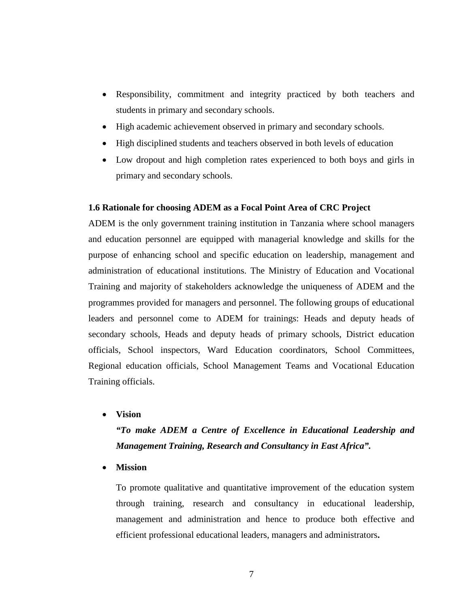- Responsibility, commitment and integrity practiced by both teachers and students in primary and secondary schools.
- High academic achievement observed in primary and secondary schools.
- High disciplined students and teachers observed in both levels of education
- Low dropout and high completion rates experienced to both boys and girls in primary and secondary schools.

#### **1.6 Rationale for choosing ADEM as a Focal Point Area of CRC Project**

ADEM is the only government training institution in Tanzania where school managers and education personnel are equipped with managerial knowledge and skills for the purpose of enhancing school and specific education on leadership, management and administration of educational institutions. The Ministry of Education and Vocational Training and majority of stakeholders acknowledge the uniqueness of ADEM and the programmes provided for managers and personnel. The following groups of educational leaders and personnel come to ADEM for trainings: Heads and deputy heads of secondary schools, Heads and deputy heads of primary schools, District education officials, School inspectors, Ward Education coordinators, School Committees, Regional education officials, School Management Teams and Vocational Education Training officials.

• **Vision** 

## *"To make ADEM a Centre of Excellence in Educational Leadership and Management Training, Research and Consultancy in East Africa".*

#### • **Mission**

To promote qualitative and quantitative improvement of the education system through training, research and consultancy in educational leadership, management and administration and hence to produce both effective and efficient professional educational leaders, managers and administrators**.**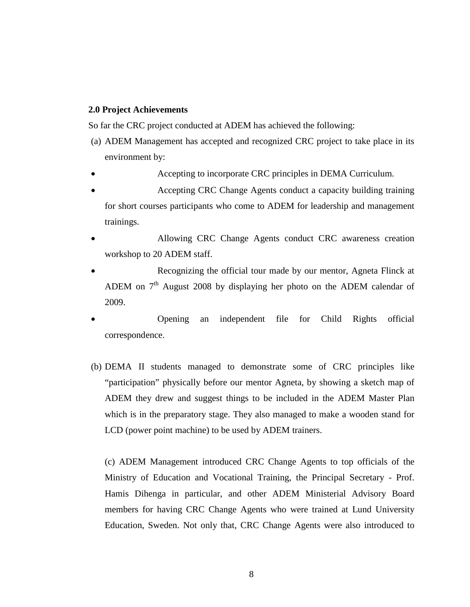## **2.0 Project Achievements**

So far the CRC project conducted at ADEM has achieved the following:

- (a) ADEM Management has accepted and recognized CRC project to take place in its environment by:
- Accepting to incorporate CRC principles in DEMA Curriculum.
- Accepting CRC Change Agents conduct a capacity building training for short courses participants who come to ADEM for leadership and management trainings.
- Allowing CRC Change Agents conduct CRC awareness creation workshop to 20 ADEM staff.
- Recognizing the official tour made by our mentor, Agneta Flinck at ADEM on  $7<sup>th</sup>$  August 2008 by displaying her photo on the ADEM calendar of 2009.
- Opening an independent file for Child Rights official correspondence.
- (b) DEMA II students managed to demonstrate some of CRC principles like "participation" physically before our mentor Agneta, by showing a sketch map of ADEM they drew and suggest things to be included in the ADEM Master Plan which is in the preparatory stage. They also managed to make a wooden stand for LCD (power point machine) to be used by ADEM trainers.

(c) ADEM Management introduced CRC Change Agents to top officials of the Ministry of Education and Vocational Training, the Principal Secretary - Prof. Hamis Dihenga in particular, and other ADEM Ministerial Advisory Board members for having CRC Change Agents who were trained at Lund University Education, Sweden. Not only that, CRC Change Agents were also introduced to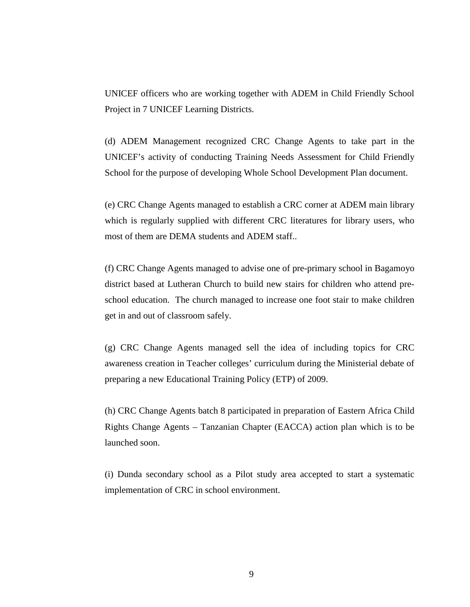UNICEF officers who are working together with ADEM in Child Friendly School Project in 7 UNICEF Learning Districts.

(d) ADEM Management recognized CRC Change Agents to take part in the UNICEF's activity of conducting Training Needs Assessment for Child Friendly School for the purpose of developing Whole School Development Plan document.

(e) CRC Change Agents managed to establish a CRC corner at ADEM main library which is regularly supplied with different CRC literatures for library users, who most of them are DEMA students and ADEM staff..

(f) CRC Change Agents managed to advise one of pre-primary school in Bagamoyo district based at Lutheran Church to build new stairs for children who attend preschool education. The church managed to increase one foot stair to make children get in and out of classroom safely.

(g) CRC Change Agents managed sell the idea of including topics for CRC awareness creation in Teacher colleges' curriculum during the Ministerial debate of preparing a new Educational Training Policy (ETP) of 2009.

(h) CRC Change Agents batch 8 participated in preparation of Eastern Africa Child Rights Change Agents – Tanzanian Chapter (EACCA) action plan which is to be launched soon.

(i) Dunda secondary school as a Pilot study area accepted to start a systematic implementation of CRC in school environment.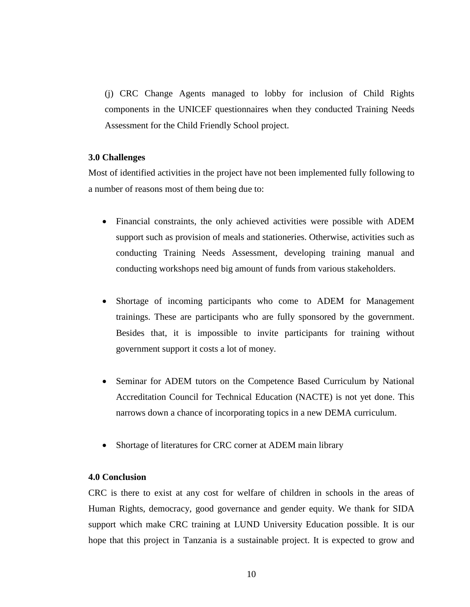(j) CRC Change Agents managed to lobby for inclusion of Child Rights components in the UNICEF questionnaires when they conducted Training Needs Assessment for the Child Friendly School project.

## **3.0 Challenges**

Most of identified activities in the project have not been implemented fully following to a number of reasons most of them being due to:

- Financial constraints, the only achieved activities were possible with ADEM support such as provision of meals and stationeries. Otherwise, activities such as conducting Training Needs Assessment, developing training manual and conducting workshops need big amount of funds from various stakeholders.
- Shortage of incoming participants who come to ADEM for Management trainings. These are participants who are fully sponsored by the government. Besides that, it is impossible to invite participants for training without government support it costs a lot of money.
- Seminar for ADEM tutors on the Competence Based Curriculum by National Accreditation Council for Technical Education (NACTE) is not yet done. This narrows down a chance of incorporating topics in a new DEMA curriculum.
- Shortage of literatures for CRC corner at ADEM main library

## **4.0 Conclusion**

CRC is there to exist at any cost for welfare of children in schools in the areas of Human Rights, democracy, good governance and gender equity. We thank for SIDA support which make CRC training at LUND University Education possible. It is our hope that this project in Tanzania is a sustainable project. It is expected to grow and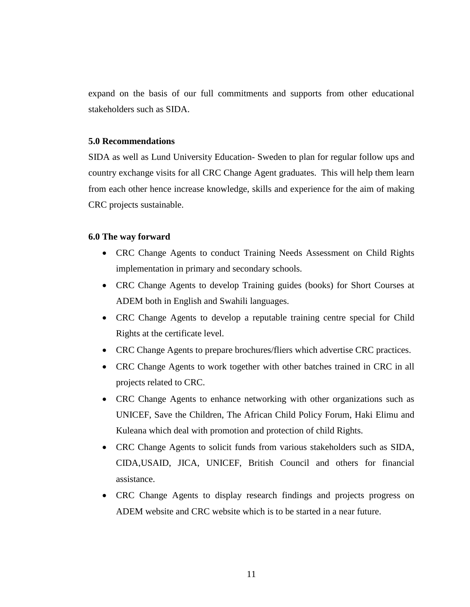expand on the basis of our full commitments and supports from other educational stakeholders such as SIDA.

### **5.0 Recommendations**

SIDA as well as Lund University Education- Sweden to plan for regular follow ups and country exchange visits for all CRC Change Agent graduates. This will help them learn from each other hence increase knowledge, skills and experience for the aim of making CRC projects sustainable.

## **6.0 The way forward**

- CRC Change Agents to conduct Training Needs Assessment on Child Rights implementation in primary and secondary schools.
- CRC Change Agents to develop Training guides (books) for Short Courses at ADEM both in English and Swahili languages.
- CRC Change Agents to develop a reputable training centre special for Child Rights at the certificate level.
- CRC Change Agents to prepare brochures/fliers which advertise CRC practices.
- CRC Change Agents to work together with other batches trained in CRC in all projects related to CRC.
- CRC Change Agents to enhance networking with other organizations such as UNICEF, Save the Children, The African Child Policy Forum, Haki Elimu and Kuleana which deal with promotion and protection of child Rights.
- CRC Change Agents to solicit funds from various stakeholders such as SIDA, CIDA,USAID, JICA, UNICEF, British Council and others for financial assistance.
- CRC Change Agents to display research findings and projects progress on ADEM website and CRC website which is to be started in a near future.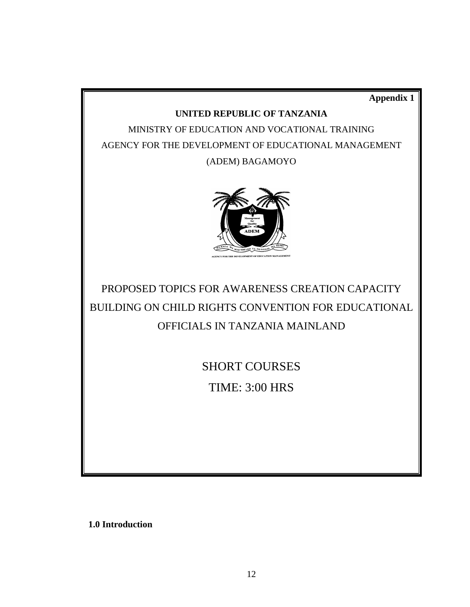**Appendix 1**

## **UNITED REPUBLIC OF TANZANIA**

MINISTRY OF EDUCATION AND VOCATIONAL TRAINING AGENCY FOR THE DEVELOPMENT OF EDUCATIONAL MANAGEMENT (ADEM) BAGAMOYO



PROPOSED TOPICS FOR AWARENESS CREATION CAPACITY BUILDING ON CHILD RIGHTS CONVENTION FOR EDUCATIONAL OFFICIALS IN TANZANIA MAINLAND

SHORT COURSES

TIME: 3:00 HRS

**1.0 Introduction**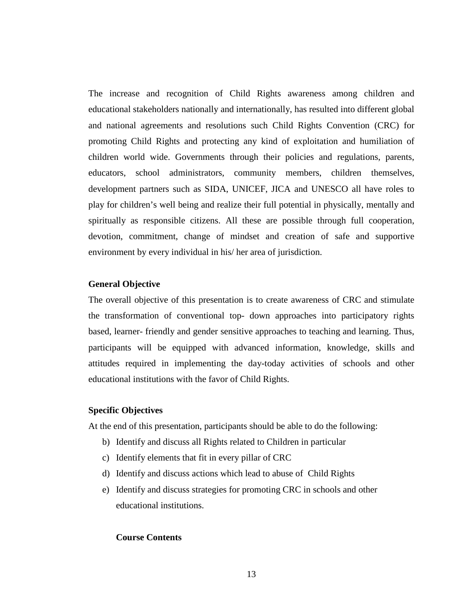The increase and recognition of Child Rights awareness among children and educational stakeholders nationally and internationally, has resulted into different global and national agreements and resolutions such Child Rights Convention (CRC) for promoting Child Rights and protecting any kind of exploitation and humiliation of children world wide. Governments through their policies and regulations, parents, educators, school administrators, community members, children themselves, development partners such as SIDA, UNICEF, JICA and UNESCO all have roles to play for children's well being and realize their full potential in physically, mentally and spiritually as responsible citizens. All these are possible through full cooperation, devotion, commitment, change of mindset and creation of safe and supportive environment by every individual in his/ her area of jurisdiction.

### **General Objective**

The overall objective of this presentation is to create awareness of CRC and stimulate the transformation of conventional top- down approaches into participatory rights based, learner- friendly and gender sensitive approaches to teaching and learning. Thus, participants will be equipped with advanced information, knowledge, skills and attitudes required in implementing the day-today activities of schools and other educational institutions with the favor of Child Rights.

## **Specific Objectives**

At the end of this presentation, participants should be able to do the following:

- b) Identify and discuss all Rights related to Children in particular
- c) Identify elements that fit in every pillar of CRC
- d) Identify and discuss actions which lead to abuse of Child Rights
- e) Identify and discuss strategies for promoting CRC in schools and other educational institutions.

#### **Course Contents**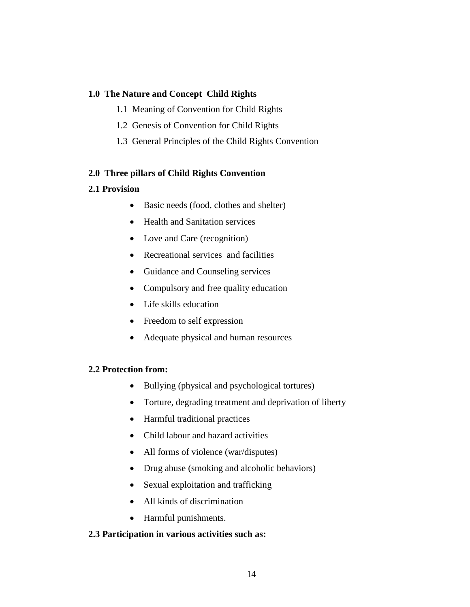## **1.0 The Nature and Concept Child Rights**

- 1.1 Meaning of Convention for Child Rights
- 1.2 Genesis of Convention for Child Rights
- 1.3 General Principles of the Child Rights Convention

## **2.0 Three pillars of Child Rights Convention**

## **2.1 Provision**

- Basic needs (food, clothes and shelter)
- Health and Sanitation services
- Love and Care (recognition)
- Recreational services and facilities
- Guidance and Counseling services
- Compulsory and free quality education
- Life skills education
- Freedom to self expression
- Adequate physical and human resources

## **2.2 Protection from:**

- Bullying (physical and psychological tortures)
- Torture, degrading treatment and deprivation of liberty
- Harmful traditional practices
- Child labour and hazard activities
- All forms of violence (war/disputes)
- Drug abuse (smoking and alcoholic behaviors)
- Sexual exploitation and trafficking
- All kinds of discrimination
- Harmful punishments.

## **2.3 Participation in various activities such as:**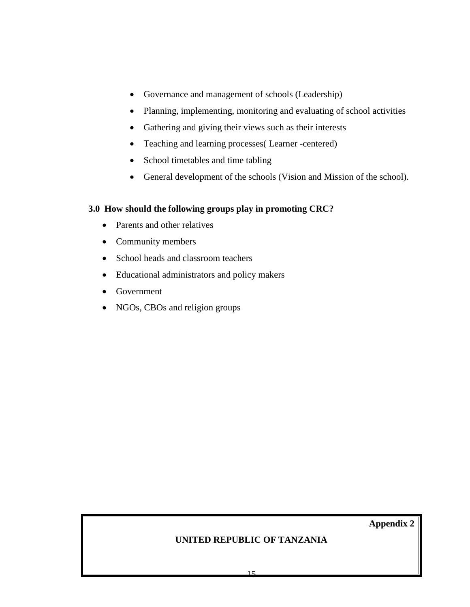- Governance and management of schools (Leadership)
- Planning, implementing, monitoring and evaluating of school activities
- Gathering and giving their views such as their interests
- Teaching and learning processes( Learner -centered)
- School timetables and time tabling
- General development of the schools (Vision and Mission of the school).

## **3.0 How should the following groups play in promoting CRC?**

- Parents and other relatives
- Community members
- School heads and classroom teachers
- Educational administrators and policy makers
- Government
- NGOs, CBOs and religion groups

**Appendix 2**

## **UNITED REPUBLIC OF TANZANIA**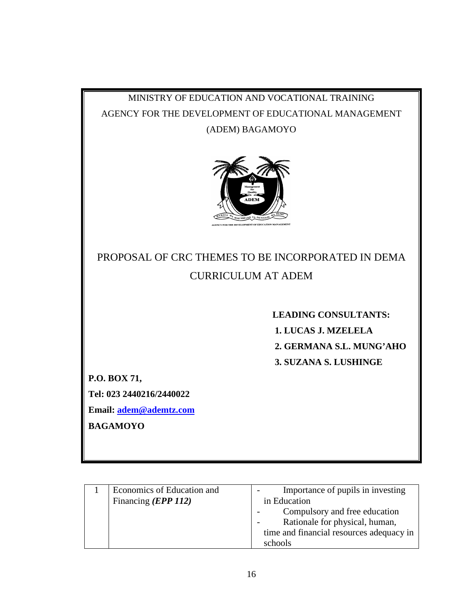## MINISTRY OF EDUCATION AND VOCATIONAL TRAINING AGENCY FOR THE DEVELOPMENT OF EDUCATIONAL MANAGEMENT (ADEM) BAGAMOYO



## PROPOSAL OF CRC THEMES TO BE INCORPORATED IN DEMA CURRICULUM AT ADEM

 **LEADING CONSULTANTS: 1. LUCAS J. MZELELA 2. GERMANA S.L. MUNG'AHO 3. SUZANA S. LUSHINGE**

**P.O. BOX 71,**

**Tel: 023 2440216/2440022**

**Email: [adem@ademtz.com](mailto:adem@ademtz.com)**

**BAGAMOYO**

| Economics of Education and | Importance of pupils in investing        |
|----------------------------|------------------------------------------|
| Financing <i>(EPP 112)</i> | in Education                             |
|                            | Compulsory and free education            |
|                            | Rationale for physical, human,           |
|                            | time and financial resources adequacy in |
|                            | schools                                  |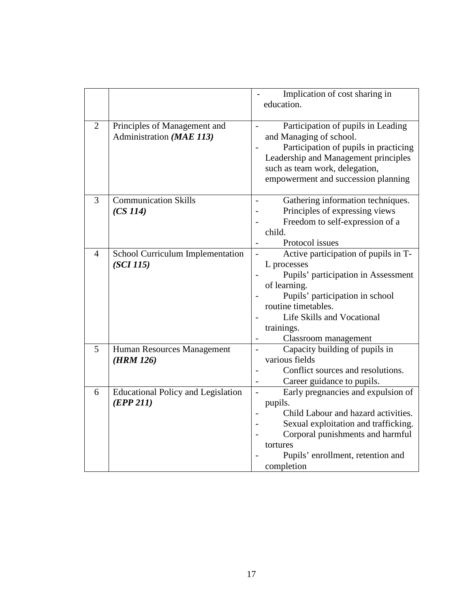|                |                                           | Implication of cost sharing in                                         |
|----------------|-------------------------------------------|------------------------------------------------------------------------|
|                |                                           | education.                                                             |
|                |                                           |                                                                        |
| $\overline{2}$ | Principles of Management and              | Participation of pupils in Leading                                     |
|                | Administration (MAE 113)                  | and Managing of school.                                                |
|                |                                           | Participation of pupils in practicing                                  |
|                |                                           | Leadership and Management principles<br>such as team work, delegation, |
|                |                                           | empowerment and succession planning                                    |
|                |                                           |                                                                        |
| 3              | <b>Communication Skills</b>               | Gathering information techniques.                                      |
|                | (CS 114)                                  | Principles of expressing views                                         |
|                |                                           | Freedom to self-expression of a                                        |
|                |                                           | child.                                                                 |
|                |                                           | Protocol issues                                                        |
| $\overline{4}$ | School Curriculum Implementation          | Active participation of pupils in T-                                   |
|                | (SCI 115)                                 | L processes                                                            |
|                |                                           | Pupils' participation in Assessment<br>of learning.                    |
|                |                                           | Pupils' participation in school                                        |
|                |                                           | routine timetables.                                                    |
|                |                                           | Life Skills and Vocational                                             |
|                |                                           | trainings.                                                             |
|                |                                           | Classroom management                                                   |
| 5              | Human Resources Management                | Capacity building of pupils in                                         |
|                | (HRM 126)                                 | various fields                                                         |
|                |                                           | Conflict sources and resolutions.<br>$\overline{\phantom{0}}$          |
|                |                                           | Career guidance to pupils.<br>$\overline{\phantom{a}}$                 |
| 6              | <b>Educational Policy and Legislation</b> | Early pregnancies and expulsion of<br>$\overline{\phantom{a}}$         |
|                | (EPP 211)                                 | pupils.<br>Child Labour and hazard activities.                         |
|                |                                           | Sexual exploitation and trafficking.                                   |
|                |                                           | Corporal punishments and harmful                                       |
|                |                                           | tortures                                                               |
|                |                                           | Pupils' enrollment, retention and                                      |
|                |                                           | completion                                                             |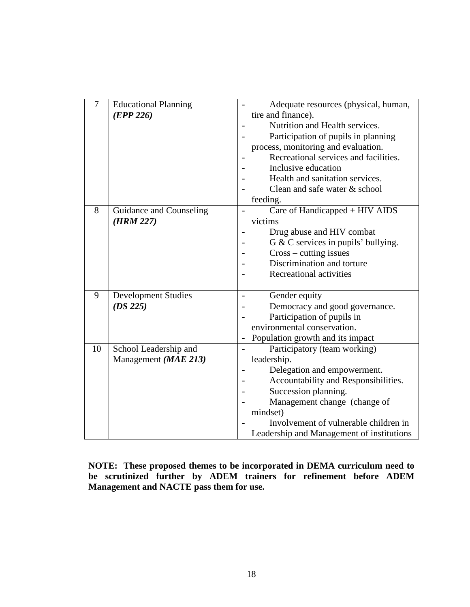| $\overline{7}$ | <b>Educational Planning</b><br>(EPP 226)      | Adequate resources (physical, human,<br>tire and finance).<br>Nutrition and Health services.<br>Participation of pupils in planning<br>process, monitoring and evaluation.<br>Recreational services and facilities.<br>Inclusive education<br>Health and sanitation services.<br>Clean and safe water & school |
|----------------|-----------------------------------------------|----------------------------------------------------------------------------------------------------------------------------------------------------------------------------------------------------------------------------------------------------------------------------------------------------------------|
|                |                                               | feeding.                                                                                                                                                                                                                                                                                                       |
| 8              | Guidance and Counseling<br>(HRM 227)          | Care of Handicapped + HIV AIDS<br>victims<br>Drug abuse and HIV combat<br>$G & C$ services in pupils' bullying.<br>$Cross$ – cutting issues<br>Discrimination and torture<br>Recreational activities                                                                                                           |
| 9              | <b>Development Studies</b><br>(DS 225)        | Gender equity<br>Democracy and good governance.<br>Participation of pupils in<br>environmental conservation.<br>Population growth and its impact                                                                                                                                                               |
| 10             | School Leadership and<br>Management (MAE 213) | Participatory (team working)<br>leadership.<br>Delegation and empowerment.<br>Accountability and Responsibilities.<br>Succession planning.<br>Management change (change of<br>mindset)<br>Involvement of vulnerable children in<br>Leadership and Management of institutions                                   |

**NOTE: These proposed themes to be incorporated in DEMA curriculum need to be scrutinized further by ADEM trainers for refinement before ADEM Management and NACTE pass them for use.**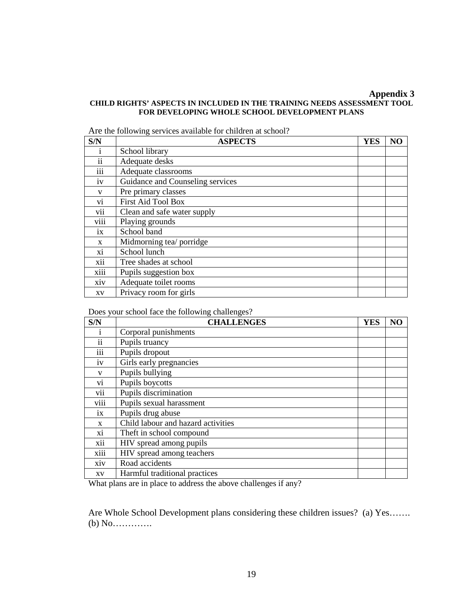#### **Appendix 3 CHILD RIGHTS' ASPECTS IN INCLUDED IN THE TRAINING NEEDS ASSESSMENT TOOL FOR DEVELOPING WHOLE SCHOOL DEVELOPMENT PLANS**

Are the following services available for children at school?

| S/N               | <b>ASPECTS</b>                   | <b>YES</b> | N <sub>O</sub> |
|-------------------|----------------------------------|------------|----------------|
| 1                 | School library                   |            |                |
| ii                | Adequate desks                   |            |                |
| $\cdots$<br>111   | Adequate classrooms              |            |                |
| 1V                | Guidance and Counseling services |            |                |
| V                 | Pre primary classes              |            |                |
| Vİ.               | <b>First Aid Tool Box</b>        |            |                |
| . .<br><b>V11</b> | Clean and safe water supply      |            |                |
| viii              | Playing grounds                  |            |                |
| ix                | School band                      |            |                |
| X                 | Midmorning tea/ porridge         |            |                |
| X1                | School lunch                     |            |                |
| xii               | Tree shades at school            |            |                |
| xiii              | Pupils suggestion box            |            |                |
| <b>XIV</b>        | Adequate toilet rooms            |            |                |
| XV                | Privacy room for girls           |            |                |

Does your school face the following challenges?

| S/N                     | <b>CHALLENGES</b>                  | <b>YES</b> | N <sub>O</sub> |
|-------------------------|------------------------------------|------------|----------------|
| 1                       | Corporal punishments               |            |                |
| $\ddot{\mathbf{i}}$     | Pupils truancy                     |            |                |
| .<br>111                | Pupils dropout                     |            |                |
| iv                      | Girls early pregnancies            |            |                |
| V                       | Pupils bullying                    |            |                |
| V1                      | Pupils boycotts                    |            |                |
| $\cdot$ .<br><b>V11</b> | Pupils discrimination              |            |                |
| viii                    | Pupils sexual harassment           |            |                |
| ix                      | Pupils drug abuse                  |            |                |
| X                       | Child labour and hazard activities |            |                |
| Xİ.                     | Theft in school compound           |            |                |
| xii                     | HIV spread among pupils            |            |                |
| xiii                    | HIV spread among teachers          |            |                |
| <b>XIV</b>              | Road accidents                     |            |                |
| XV                      | Harmful traditional practices      |            |                |

What plans are in place to address the above challenges if any?

Are Whole School Development plans considering these children issues? (a) Yes……. (b) No………….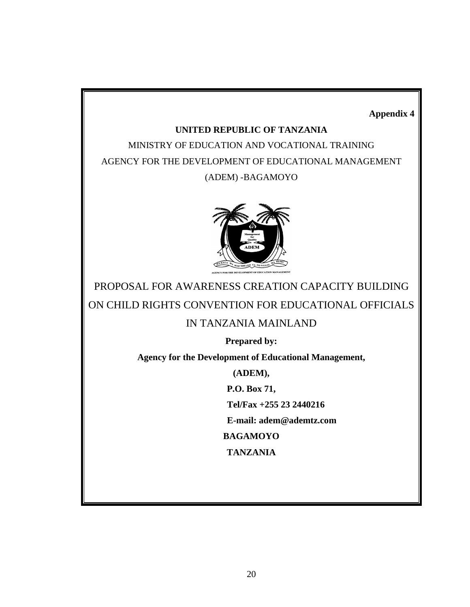**Appendix 4**

## **UNITED REPUBLIC OF TANZANIA**

MINISTRY OF EDUCATION AND VOCATIONAL TRAINING AGENCY FOR THE DEVELOPMENT OF EDUCATIONAL MANAGEMENT (ADEM) -BAGAMOYO



PROPOSAL FOR AWARENESS CREATION CAPACITY BUILDING ON CHILD RIGHTS CONVENTION FOR EDUCATIONAL OFFICIALS

## IN TANZANIA MAINLAND

**Prepared by:**

**Agency for the Development of Educational Management,**

**(ADEM),**

**P.O. Box 71,**

**Tel/Fax +255 23 2440216**

**E-mail: adem@ademtz.com**

**BAGAMOYO**

**TANZANIA**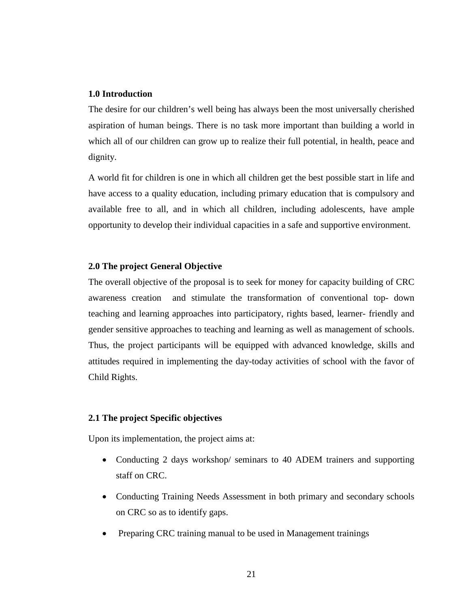## **1.0 Introduction**

The desire for our children's well being has always been the most universally cherished aspiration of human beings. There is no task more important than building a world in which all of our children can grow up to realize their full potential, in health, peace and dignity.

A world fit for children is one in which all children get the best possible start in life and have access to a quality education, including primary education that is compulsory and available free to all, and in which all children, including adolescents, have ample opportunity to develop their individual capacities in a safe and supportive environment.

## **2.0 The project General Objective**

The overall objective of the proposal is to seek for money for capacity building of CRC awareness creation and stimulate the transformation of conventional top- down teaching and learning approaches into participatory, rights based, learner- friendly and gender sensitive approaches to teaching and learning as well as management of schools. Thus, the project participants will be equipped with advanced knowledge, skills and attitudes required in implementing the day-today activities of school with the favor of Child Rights.

## **2.1 The project Specific objectives**

Upon its implementation, the project aims at:

- Conducting 2 days workshop/ seminars to 40 ADEM trainers and supporting staff on CRC.
- Conducting Training Needs Assessment in both primary and secondary schools on CRC so as to identify gaps.
- Preparing CRC training manual to be used in Management trainings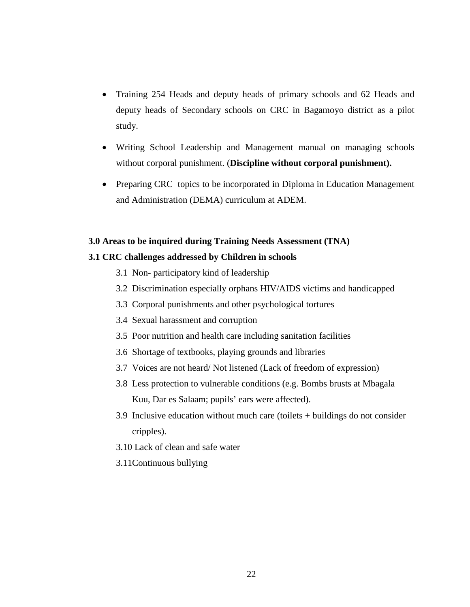- Training 254 Heads and deputy heads of primary schools and 62 Heads and deputy heads of Secondary schools on CRC in Bagamoyo district as a pilot study.
- Writing School Leadership and Management manual on managing schools without corporal punishment. (**Discipline without corporal punishment).**
- Preparing CRC topics to be incorporated in Diploma in Education Management and Administration (DEMA) curriculum at ADEM.

#### **3.0 Areas to be inquired during Training Needs Assessment (TNA)**

## **3.1 CRC challenges addressed by Children in schools**

- 3.1 Non- participatory kind of leadership
- 3.2 Discrimination especially orphans HIV/AIDS victims and handicapped
- 3.3 Corporal punishments and other psychological tortures
- 3.4 Sexual harassment and corruption
- 3.5 Poor nutrition and health care including sanitation facilities
- 3.6 Shortage of textbooks, playing grounds and libraries
- 3.7 Voices are not heard/ Not listened (Lack of freedom of expression)
- 3.8 Less protection to vulnerable conditions (e.g. Bombs brusts at Mbagala Kuu, Dar es Salaam; pupils' ears were affected).
- 3.9 Inclusive education without much care (toilets + buildings do not consider cripples).
- 3.10 Lack of clean and safe water
- 3.11Continuous bullying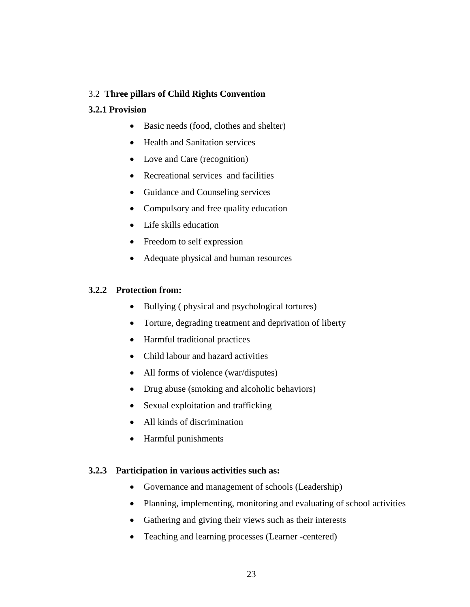## 3.2 **Three pillars of Child Rights Convention**

## **3.2.1 Provision**

- Basic needs (food, clothes and shelter)
- Health and Sanitation services
- Love and Care (recognition)
- Recreational services and facilities
- Guidance and Counseling services
- Compulsory and free quality education
- Life skills education
- Freedom to self expression
- Adequate physical and human resources

## **3.2.2 Protection from:**

- Bullying (physical and psychological tortures)
- Torture, degrading treatment and deprivation of liberty
- Harmful traditional practices
- Child labour and hazard activities
- All forms of violence (war/disputes)
- Drug abuse (smoking and alcoholic behaviors)
- Sexual exploitation and trafficking
- All kinds of discrimination
- Harmful punishments

## **3.2.3 Participation in various activities such as:**

- Governance and management of schools (Leadership)
- Planning, implementing, monitoring and evaluating of school activities
- Gathering and giving their views such as their interests
- Teaching and learning processes (Learner -centered)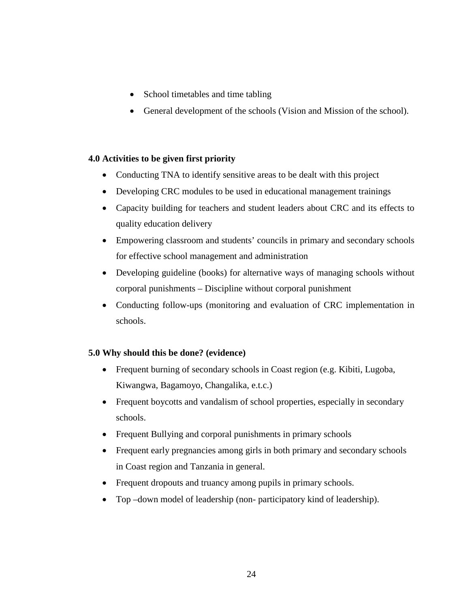- School timetables and time tabling
- General development of the schools (Vision and Mission of the school).

## **4.0 Activities to be given first priority**

- Conducting TNA to identify sensitive areas to be dealt with this project
- Developing CRC modules to be used in educational management trainings
- Capacity building for teachers and student leaders about CRC and its effects to quality education delivery
- Empowering classroom and students' councils in primary and secondary schools for effective school management and administration
- Developing guideline (books) for alternative ways of managing schools without corporal punishments – Discipline without corporal punishment
- Conducting follow-ups (monitoring and evaluation of CRC implementation in schools.

## **5.0 Why should this be done? (evidence)**

- Frequent burning of secondary schools in Coast region (e.g. Kibiti, Lugoba, Kiwangwa, Bagamoyo, Changalika, e.t.c.)
- Frequent boycotts and vandalism of school properties, especially in secondary schools.
- Frequent Bullying and corporal punishments in primary schools
- Frequent early pregnancies among girls in both primary and secondary schools in Coast region and Tanzania in general.
- Frequent dropouts and truancy among pupils in primary schools.
- Top –down model of leadership (non- participatory kind of leadership).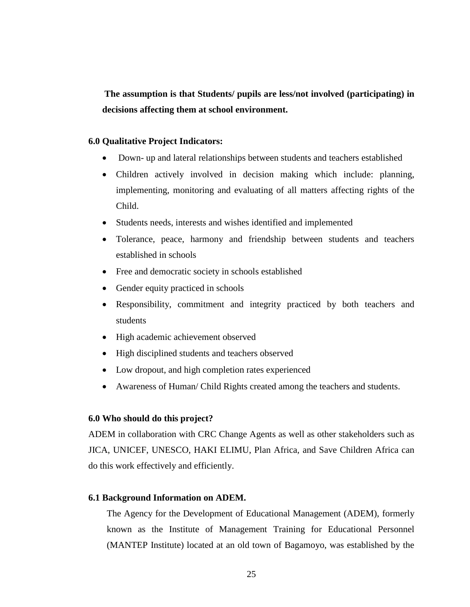**The assumption is that Students/ pupils are less/not involved (participating) in decisions affecting them at school environment.**

## **6.0 Qualitative Project Indicators:**

- Down- up and lateral relationships between students and teachers established
- Children actively involved in decision making which include: planning, implementing, monitoring and evaluating of all matters affecting rights of the Child.
- Students needs, interests and wishes identified and implemented
- Tolerance, peace, harmony and friendship between students and teachers established in schools
- Free and democratic society in schools established
- Gender equity practiced in schools
- Responsibility, commitment and integrity practiced by both teachers and students
- High academic achievement observed
- High disciplined students and teachers observed
- Low dropout, and high completion rates experienced
- Awareness of Human/ Child Rights created among the teachers and students.

## **6.0 Who should do this project?**

ADEM in collaboration with CRC Change Agents as well as other stakeholders such as JICA, UNICEF, UNESCO, HAKI ELIMU, Plan Africa, and Save Children Africa can do this work effectively and efficiently.

## **6.1 Background Information on ADEM.**

The Agency for the Development of Educational Management (ADEM), formerly known as the Institute of Management Training for Educational Personnel (MANTEP Institute) located at an old town of Bagamoyo, was established by the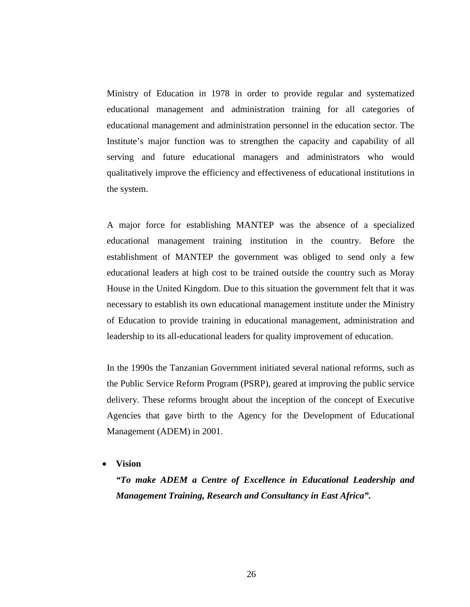Ministry of Education in 1978 in order to provide regular and systematized educational management and administration training for all categories of educational management and administration personnel in the education sector. The Institute's major function was to strengthen the capacity and capability of all serving and future educational managers and administrators who would qualitatively improve the efficiency and effectiveness of educational institutions in the system.

A major force for establishing MANTEP was the absence of a specialized educational management training institution in the country. Before the establishment of MANTEP the government was obliged to send only a few educational leaders at high cost to be trained outside the country such as Moray House in the United Kingdom. Due to this situation the government felt that it was necessary to establish its own educational management institute under the Ministry of Education to provide training in educational management, administration and leadership to its all-educational leaders for quality improvement of education.

In the 1990s the Tanzanian Government initiated several national reforms, such as the Public Service Reform Program (PSRP), geared at improving the public service delivery. These reforms brought about the inception of the concept of Executive Agencies that gave birth to the Agency for the Development of Educational Management (ADEM) in 2001.

#### • **Vision**

*"To make ADEM a Centre of Excellence in Educational Leadership and Management Training, Research and Consultancy in East Africa".*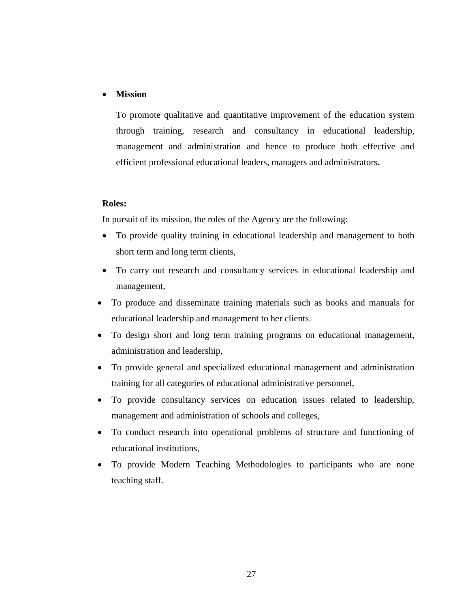## • **Mission**

To promote qualitative and quantitative improvement of the education system through training, research and consultancy in educational leadership, management and administration and hence to produce both effective and efficient professional educational leaders, managers and administrators**.**

## **Roles:**

In pursuit of its mission, the roles of the Agency are the following:

- To provide quality training in educational leadership and management to both short term and long term clients,
- To carry out research and consultancy services in educational leadership and management,
- To produce and disseminate training materials such as books and manuals for educational leadership and management to her clients.
- To design short and long term training programs on educational management, administration and leadership,
- To provide general and specialized educational management and administration training for all categories of educational administrative personnel,
- To provide consultancy services on education issues related to leadership, management and administration of schools and colleges,
- To conduct research into operational problems of structure and functioning of educational institutions,
- To provide Modern Teaching Methodologies to participants who are none teaching staff.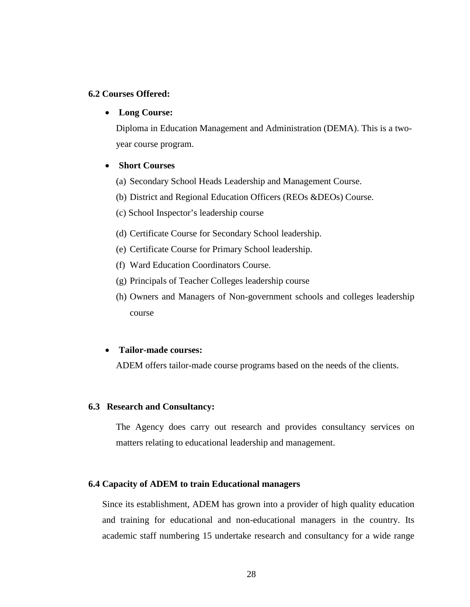## **6.2 Courses Offered:**

#### • **Long Course:**

Diploma in Education Management and Administration (DEMA). This is a twoyear course program.

## • **Short Courses**

- (a) Secondary School Heads Leadership and Management Course.
- (b) District and Regional Education Officers (REOs &DEOs) Course.
- (c) School Inspector's leadership course
- (d) Certificate Course for Secondary School leadership.
- (e) Certificate Course for Primary School leadership.
- (f) Ward Education Coordinators Course.
- (g) Principals of Teacher Colleges leadership course
- (h) Owners and Managers of Non-government schools and colleges leadership course

#### • **Tailor-made courses:**

ADEM offers tailor-made course programs based on the needs of the clients.

#### **6.3 Research and Consultancy:**

The Agency does carry out research and provides consultancy services on matters relating to educational leadership and management.

#### **6.4 Capacity of ADEM to train Educational managers**

Since its establishment, ADEM has grown into a provider of high quality education and training for educational and non-educational managers in the country. Its academic staff numbering 15 undertake research and consultancy for a wide range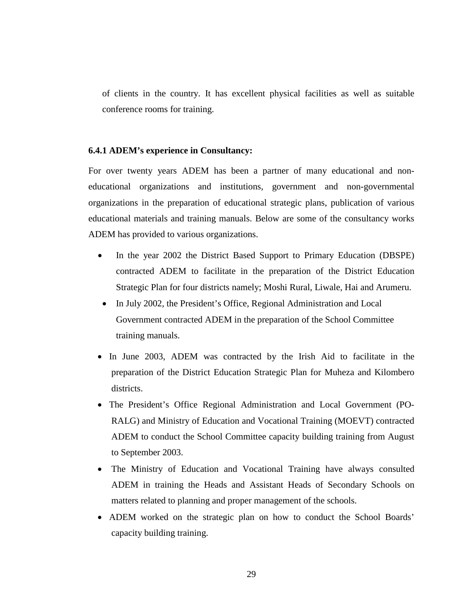of clients in the country. It has excellent physical facilities as well as suitable conference rooms for training.

## **6.4.1 ADEM's experience in Consultancy:**

For over twenty years ADEM has been a partner of many educational and noneducational organizations and institutions, government and non-governmental organizations in the preparation of educational strategic plans, publication of various educational materials and training manuals. Below are some of the consultancy works ADEM has provided to various organizations.

- In the year 2002 the District Based Support to Primary Education (DBSPE) contracted ADEM to facilitate in the preparation of the District Education Strategic Plan for four districts namely; Moshi Rural, Liwale, Hai and Arumeru.
- In July 2002, the President's Office, Regional Administration and Local Government contracted ADEM in the preparation of the School Committee training manuals.
- In June 2003, ADEM was contracted by the Irish Aid to facilitate in the preparation of the District Education Strategic Plan for Muheza and Kilombero districts.
- The President's Office Regional Administration and Local Government (PO-RALG) and Ministry of Education and Vocational Training (MOEVT) contracted ADEM to conduct the School Committee capacity building training from August to September 2003.
- The Ministry of Education and Vocational Training have always consulted ADEM in training the Heads and Assistant Heads of Secondary Schools on matters related to planning and proper management of the schools.
- ADEM worked on the strategic plan on how to conduct the School Boards' capacity building training.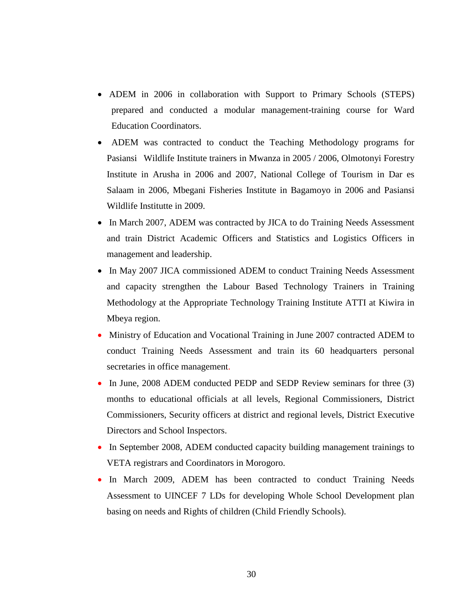- ADEM in 2006 in collaboration with Support to Primary Schools (STEPS) prepared and conducted a modular management-training course for Ward Education Coordinators.
- ADEM was contracted to conduct the Teaching Methodology programs for Pasiansi Wildlife Institute trainers in Mwanza in 2005 / 2006, Olmotonyi Forestry Institute in Arusha in 2006 and 2007*,* National College of Tourism in Dar es Salaam in 2006, Mbegani Fisheries Institute in Bagamoyo in 2006 and Pasiansi Wildlife Institutte in 2009.
- In March 2007, ADEM was contracted by JICA to do Training Needs Assessment and train District Academic Officers and Statistics and Logistics Officers in management and leadership.
- In May 2007 JICA commissioned ADEM to conduct Training Needs Assessment and capacity strengthen the Labour Based Technology Trainers in Training Methodology at the Appropriate Technology Training Institute ATTI at Kiwira in Mbeya region.
- Ministry of Education and Vocational Training in June 2007 contracted ADEM to conduct Training Needs Assessment and train its 60 headquarters personal secretaries in office management.
- In June, 2008 ADEM conducted PEDP and SEDP Review seminars for three (3) months to educational officials at all levels, Regional Commissioners, District Commissioners, Security officers at district and regional levels, District Executive Directors and School Inspectors.
- In September 2008, ADEM conducted capacity building management trainings to VETA registrars and Coordinators in Morogoro.
- In March 2009, ADEM has been contracted to conduct Training Needs Assessment to UINCEF 7 LDs for developing Whole School Development plan basing on needs and Rights of children (Child Friendly Schools).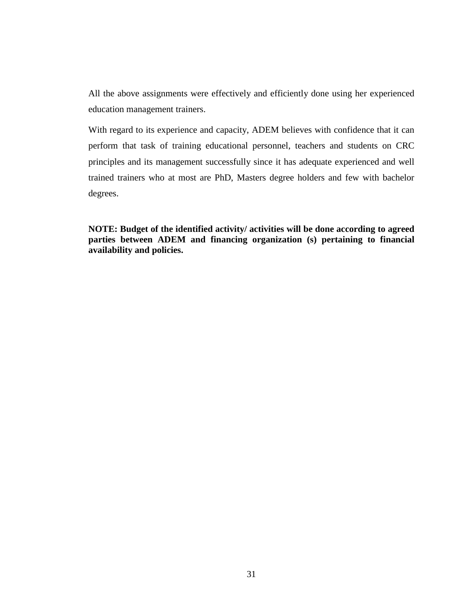All the above assignments were effectively and efficiently done using her experienced education management trainers.

With regard to its experience and capacity, ADEM believes with confidence that it can perform that task of training educational personnel, teachers and students on CRC principles and its management successfully since it has adequate experienced and well trained trainers who at most are PhD, Masters degree holders and few with bachelor degrees.

**NOTE: Budget of the identified activity/ activities will be done according to agreed parties between ADEM and financing organization (s) pertaining to financial availability and policies.**